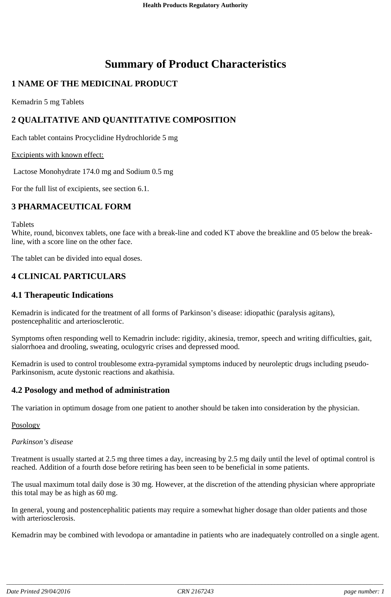# **Summary of Product Characteristics**

# **1 NAME OF THE MEDICINAL PRODUCT**

Kemadrin 5 mg Tablets

# **2 QUALITATIVE AND QUANTITATIVE COMPOSITION**

Each tablet contains Procyclidine Hydrochloride 5 mg

### Excipients with known effect:

Lactose Monohydrate 174.0 mg and Sodium 0.5 mg

For the full list of excipients, see section 6.1.

# **3 PHARMACEUTICAL FORM**

Tablets

White, round, biconvex tablets, one face with a break-line and coded KT above the breakline and 05 below the breakline, with a score line on the other face.

The tablet can be divided into equal doses.

## **4 CLINICAL PARTICULARS**

### **4.1 Therapeutic Indications**

Kemadrin is indicated for the treatment of all forms of Parkinson's disease: idiopathic (paralysis agitans), postencephalitic and arteriosclerotic.

Symptoms often responding well to Kemadrin include: rigidity, akinesia, tremor, speech and writing difficulties, gait, sialorrhoea and drooling, sweating, oculogyric crises and depressed mood.

Kemadrin is used to control troublesome extra-pyramidal symptoms induced by neuroleptic drugs including pseudo-Parkinsonism, acute dystonic reactions and akathisia.

### **4.2 Posology and method of administration**

The variation in optimum dosage from one patient to another should be taken into consideration by the physician.

#### **Posology**

*Parkinson's disease*

Treatment is usually started at 2.5 mg three times a day, increasing by 2.5 mg daily until the level of optimal control is reached. Addition of a fourth dose before retiring has been seen to be beneficial in some patients.

The usual maximum total daily dose is 30 mg. However, at the discretion of the attending physician where appropriate this total may be as high as 60 mg.

In general, young and postencephalitic patients may require a somewhat higher dosage than older patients and those with arteriosclerosis.

Kemadrin may be combined with levodopa or amantadine in patients who are inadequately controlled on a single agent.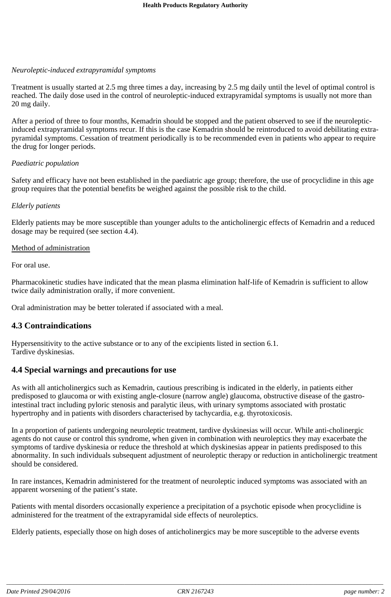### *Neuroleptic-induced extrapyramidal symptoms*

Treatment is usually started at 2.5 mg three times a day, increasing by 2.5 mg daily until the level of optimal control is reached. The daily dose used in the control of neuroleptic-induced extrapyramidal symptoms is usually not more than 20 mg daily.

After a period of three to four months, Kemadrin should be stopped and the patient observed to see if the neurolepticinduced extrapyramidal symptoms recur. If this is the case Kemadrin should be reintroduced to avoid debilitating extrapyramidal symptoms. Cessation of treatment periodically is to be recommended even in patients who appear to require the drug for longer periods.

### *Paediatric population*

Safety and efficacy have not been established in the paediatric age group; therefore, the use of procyclidine in this age group requires that the potential benefits be weighed against the possible risk to the child.

### *Elderly patients*

Elderly patients may be more susceptible than younger adults to the anticholinergic effects of Kemadrin and a reduced dosage may be required (see section 4.4).

### Method of administration

For oral use.

Pharmacokinetic studies have indicated that the mean plasma elimination half-life of Kemadrin is sufficient to allow twice daily administration orally, if more convenient.

Oral administration may be better tolerated if associated with a meal.

### **4.3 Contraindications**

Hypersensitivity to the active substance or to any of the excipients listed in section 6.1. Tardive dyskinesias.

# **4.4 Special warnings and precautions for use**

As with all anticholinergics such as Kemadrin, cautious prescribing is indicated in the elderly, in patients either predisposed to glaucoma or with existing angle-closure (narrow angle) glaucoma, obstructive disease of the gastrointestinal tract including pyloric stenosis and paralytic ileus, with urinary symptoms associated with prostatic hypertrophy and in patients with disorders characterised by tachycardia, e.g. thyrotoxicosis.

In a proportion of patients undergoing neuroleptic treatment, tardive dyskinesias will occur. While anti-cholinergic agents do not cause or control this syndrome, when given in combination with neuroleptics they may exacerbate the symptoms of tardive dyskinesia or reduce the threshold at which dyskinesias appear in patients predisposed to this abnormality. In such individuals subsequent adjustment of neuroleptic therapy or reduction in anticholinergic treatment should be considered.

In rare instances, Kemadrin administered for the treatment of neuroleptic induced symptoms was associated with an apparent worsening of the patient's state.

Patients with mental disorders occasionally experience a precipitation of a psychotic episode when procyclidine is administered for the treatment of the extrapyramidal side effects of neuroleptics.

Elderly patients, especially those on high doses of anticholinergics may be more susceptible to the adverse events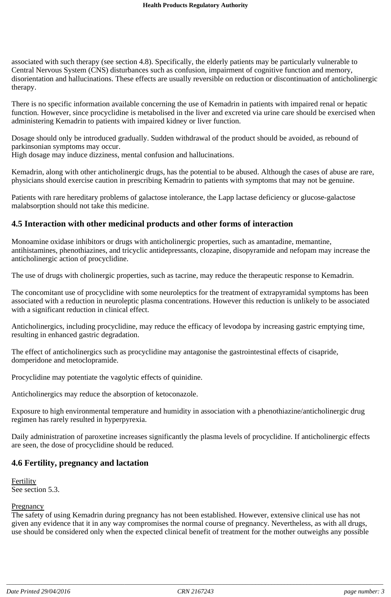associated with such therapy (see section 4.8). Specifically, the elderly patients may be particularly vulnerable to Central Nervous System (CNS) disturbances such as confusion, impairment of cognitive function and memory, disorientation and hallucinations. These effects are usually reversible on reduction or discontinuation of anticholinergic therapy.

There is no specific information available concerning the use of Kemadrin in patients with impaired renal or hepatic function. However, since procyclidine is metabolised in the liver and excreted via urine care should be exercised when administering Kemadrin to patients with impaired kidney or liver function.

Dosage should only be introduced gradually. Sudden withdrawal of the product should be avoided, as rebound of parkinsonian symptoms may occur.

High dosage may induce dizziness, mental confusion and hallucinations.

Kemadrin, along with other anticholinergic drugs, has the potential to be abused. Although the cases of abuse are rare, physicians should exercise caution in prescribing Kemadrin to patients with symptoms that may not be genuine.

Patients with rare hereditary problems of galactose intolerance, the Lapp lactase deficiency or glucose-galactose malabsorption should not take this medicine.

## **4.5 Interaction with other medicinal products and other forms of interaction**

Monoamine oxidase inhibitors or drugs with anticholinergic properties, such as amantadine, memantine, antihistamines, phenothiazines, and tricyclic antidepressants, clozapine, disopyramide and nefopam may increase the anticholinergic action of procyclidine.

The use of drugs with cholinergic properties, such as tacrine, may reduce the therapeutic response to Kemadrin.

The concomitant use of procyclidine with some neuroleptics for the treatment of extrapyramidal symptoms has been associated with a reduction in neuroleptic plasma concentrations. However this reduction is unlikely to be associated with a significant reduction in clinical effect.

Anticholinergics, including procyclidine, may reduce the efficacy of levodopa by increasing gastric emptying time, resulting in enhanced gastric degradation.

The effect of anticholinergics such as procyclidine may antagonise the gastrointestinal effects of cisapride, domperidone and metoclopramide.

Procyclidine may potentiate the vagolytic effects of quinidine.

Anticholinergics may reduce the absorption of ketoconazole.

Exposure to high environmental temperature and humidity in association with a phenothiazine/anticholinergic drug regimen has rarely resulted in hyperpyrexia.

Daily administration of paroxetine increases significantly the plasma levels of procyclidine. If anticholinergic effects are seen, the dose of procyclidine should be reduced.

### **4.6 Fertility, pregnancy and lactation**

Fertility See section 5.3.

### **Pregnancy**

The safety of using Kemadrin during pregnancy has not been established. However, extensive clinical use has not given any evidence that it in any way compromises the normal course of pregnancy. Nevertheless, as with all drugs, use should be considered only when the expected clinical benefit of treatment for the mother outweighs any possible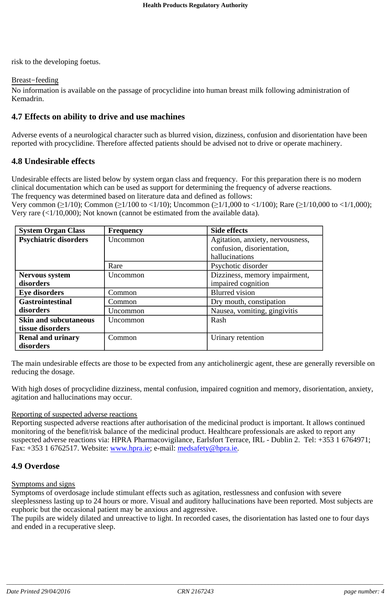risk to the developing foetus.

### Breast-feeding

No information is available on the passage of procyclidine into human breast milk following administration of Kemadrin.

## **4.7 Effects on ability to drive and use machines**

Adverse events of a neurological character such as blurred vision, dizziness, confusion and disorientation have been reported with procyclidine. Therefore affected patients should be advised not to drive or operate machinery.

### **4.8 Undesirable effects**

Undesirable effects are listed below by system organ class and frequency. For this preparation there is no modern clinical documentation which can be used as support for determining the frequency of adverse reactions. The frequency was determined based on literature data and defined as follows:

Very common ( $\geq$ 1/10); Common ( $\geq$ 1/100 to <1/10); Uncommon ( $\geq$ 1/1,000 to <1/100); Rare ( $\geq$ 1/10,000 to <1/1,000); Very rare (<1/10,000); Not known (cannot be estimated from the available data).

| <b>System Organ Class</b>    | <b>Frequency</b> | <b>Side effects</b>              |
|------------------------------|------------------|----------------------------------|
| <b>Psychiatric disorders</b> | Uncommon         | Agitation, anxiety, nervousness, |
|                              |                  | confusion, disorientation,       |
|                              |                  | hallucinations                   |
|                              | Rare             | Psychotic disorder               |
| <b>Nervous system</b>        | <b>Uncommon</b>  | Dizziness, memory impairment,    |
| disorders                    |                  | impaired cognition               |
| <b>Eye disorders</b>         | Common           | <b>Blurred</b> vision            |
| <b>Gastrointestinal</b>      | Common           | Dry mouth, constipation          |
| disorders                    | Uncommon         | Nausea, vomiting, gingivitis     |
| <b>Skin and subcutaneous</b> | Uncommon         | Rash                             |
| tissue disorders             |                  |                                  |
| <b>Renal and urinary</b>     | Common           | Urinary retention                |
| disorders                    |                  |                                  |

The main undesirable effects are those to be expected from any anticholinergic agent, these are generally reversible on reducing the dosage.

With high doses of procyclidine dizziness, mental confusion, impaired cognition and memory, disorientation, anxiety, agitation and hallucinations may occur.

### Reporting of suspected adverse reactions

Reporting suspected adverse reactions after authorisation of the medicinal product is important. It allows continued monitoring of the benefit/risk balance of the medicinal product. Healthcare professionals are asked to report any suspected adverse reactions via: HPRA Pharmacovigilance, Earlsfort Terrace, IRL - Dublin 2. Tel: +353 1 6764971; Fax: +353 1 6762517. Website: www.hpra.ie; e-mail: medsafety@hpra.ie.

# **4.9 Overdose**

### Symptoms and signs

Symptoms of overdosage include stimulant effects such as agitation, restlessness and confusion with severe sleeplessness lasting up to 24 hours or more. Visual and auditory hallucinations have been reported. Most subjects are euphoric but the occasional patient may be anxious and aggressive.

The pupils are widely dilated and unreactive to light. In recorded cases, the disorientation has lasted one to four days and ended in a recuperative sleep.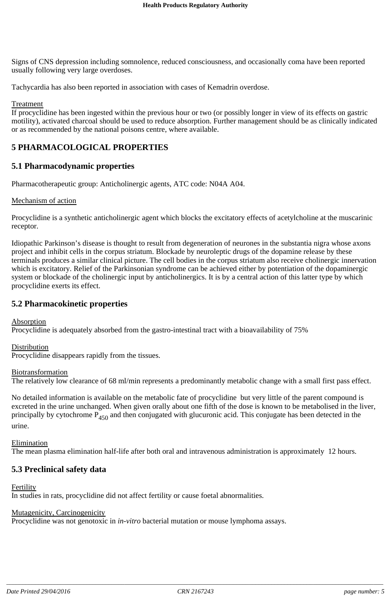Signs of CNS depression including somnolence, reduced consciousness, and occasionally coma have been reported usually following very large overdoses.

Tachycardia has also been reported in association with cases of Kemadrin overdose.

#### **Treatment**

If procyclidine has been ingested within the previous hour or two (or possibly longer in view of its effects on gastric motility), activated charcoal should be used to reduce absorption. Further management should be as clinically indicated or as recommended by the national poisons centre, where available.

### **5 PHARMACOLOGICAL PROPERTIES**

### **5.1 Pharmacodynamic properties**

Pharmacotherapeutic group: Anticholinergic agents, ATC code: N04A A04.

#### Mechanism of action

Procyclidine is a synthetic anticholinergic agent which blocks the excitatory effects of acetylcholine at the muscarinic receptor.

Idiopathic Parkinson's disease is thought to result from degeneration of neurones in the substantia nigra whose axons project and inhibit cells in the corpus striatum. Blockade by neuroleptic drugs of the dopamine release by these terminals produces a similar clinical picture. The cell bodies in the corpus striatum also receive cholinergic innervation which is excitatory. Relief of the Parkinsonian syndrome can be achieved either by potentiation of the dopaminergic system or blockade of the cholinergic input by anticholinergics. It is by a central action of this latter type by which procyclidine exerts its effect.

### **5.2 Pharmacokinetic properties**

### Absorption

Procyclidine is adequately absorbed from the gastro-intestinal tract with a bioavailability of 75%

### Distribution

Procyclidine disappears rapidly from the tissues.

#### **Biotransformation**

The relatively low clearance of 68 ml/min represents a predominantly metabolic change with a small first pass effect.

No detailed information is available on the metabolic fate of procyclidine but very little of the parent compound is excreted in the urine unchanged. When given orally about one fifth of the dose is known to be metabolised in the liver, principally by cytochrome  $P_{450}$  and then conjugated with glucuronic acid. This conjugate has been detected in the urine.

Elimination

The mean plasma elimination half-life after both oral and intravenous administration is approximately 12 hours.

### **5.3 Preclinical safety data**

Fertility

In studies in rats, procyclidine did not affect fertility or cause foetal abnormalities.

### Mutagenicity, Carcinogenicity

Procyclidine was not genotoxic in *in-vitro* bacterial mutation or mouse lymphoma assays.